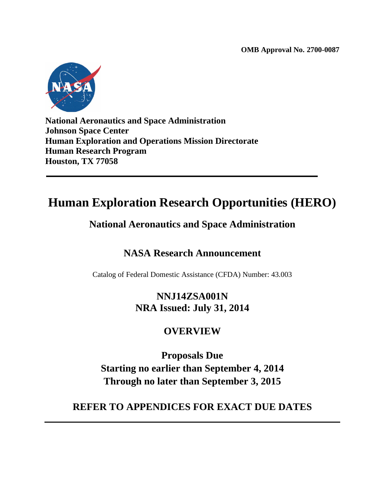**OMB Approval No. 2700-0087**



**National Aeronautics and Space Administration Johnson Space Center Human Exploration and Operations Mission Directorate Human Research Program Houston, TX 77058**

# **Human Exploration Research Opportunities (HERO)**

## **National Aeronautics and Space Administration**

## **NASA Research Announcement**

Catalog of Federal Domestic Assistance (CFDA) Number: 43.003

## **NNJ14ZSA001N NRA Issued: July 31, 2014**

## **OVERVIEW**

**Proposals Due Starting no earlier than September 4, 2014 Through no later than September 3, 2015**

## **REFER TO APPENDICES FOR EXACT DUE DATES**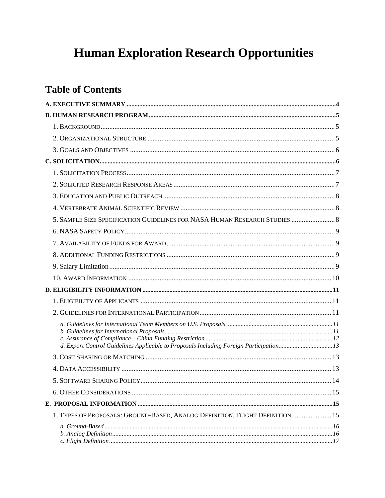# **Human Exploration Research Opportunities**

## **Table of Contents**

| 5. SAMPLE SIZE SPECIFICATION GUIDELINES FOR NASA HUMAN RESEARCH STUDIES  8             |      |
|----------------------------------------------------------------------------------------|------|
|                                                                                        |      |
|                                                                                        |      |
|                                                                                        |      |
|                                                                                        |      |
|                                                                                        |      |
|                                                                                        |      |
|                                                                                        |      |
|                                                                                        |      |
|                                                                                        |      |
|                                                                                        |      |
| d. Export Control Guidelines Applicable to Proposals Including Foreign Participation13 |      |
|                                                                                        |      |
|                                                                                        |      |
|                                                                                        | . 14 |
|                                                                                        |      |
|                                                                                        |      |
| 1. TYPES OF PROPOSALS: GROUND-BASED, ANALOG DEFINITION, FLIGHT DEFINITION 15           |      |
|                                                                                        |      |
|                                                                                        |      |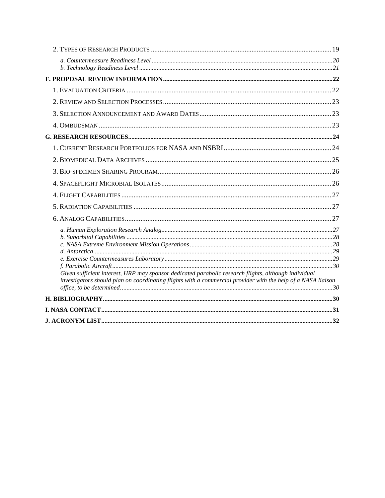| Given sufficient interest, HRP may sponsor dedicated parabolic research flights, although individual         |  |
|--------------------------------------------------------------------------------------------------------------|--|
| investigators should plan on coordinating flights with a commercial provider with the help of a NASA liaison |  |
|                                                                                                              |  |
|                                                                                                              |  |
|                                                                                                              |  |
|                                                                                                              |  |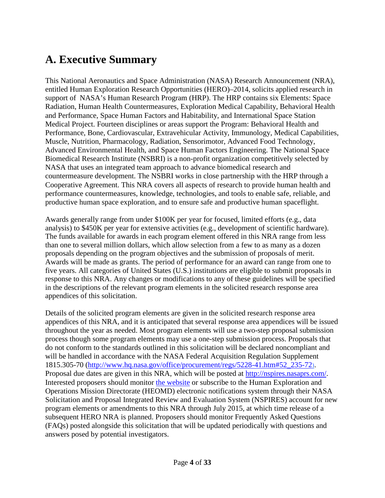## <span id="page-3-0"></span>**A. Executive Summary**

This National Aeronautics and Space Administration (NASA) Research Announcement (NRA), entitled Human Exploration Research Opportunities (HERO)–2014, solicits applied research in support of NASA's Human Research Program (HRP). The HRP contains six Elements: Space Radiation, Human Health Countermeasures, Exploration Medical Capability, Behavioral Health and Performance, Space Human Factors and Habitability, and International Space Station Medical Project. Fourteen disciplines or areas support the Program: Behavioral Health and Performance, Bone, Cardiovascular, Extravehicular Activity, Immunology, Medical Capabilities, Muscle, Nutrition, Pharmacology, Radiation, Sensorimotor, Advanced Food Technology, Advanced Environmental Health, and Space Human Factors Engineering. The National Space Biomedical Research Institute (NSBRI) is a non-profit organization competitively selected by NASA that uses an integrated team approach to advance biomedical research and countermeasure development. The NSBRI works in close partnership with the HRP through a Cooperative Agreement. This NRA covers all aspects of research to provide human health and performance countermeasures, knowledge, technologies, and tools to enable safe, reliable, and productive human space exploration, and to ensure safe and productive human spaceflight.

Awards generally range from under \$100K per year for focused, limited efforts (e.g., data analysis) to \$450K per year for extensive activities (e.g., development of scientific hardware). The funds available for awards in each program element offered in this NRA range from less than one to several million dollars, which allow selection from a few to as many as a dozen proposals depending on the program objectives and the submission of proposals of merit. Awards will be made as grants. The period of performance for an award can range from one to five years. All categories of United States (U.S.) institutions are eligible to submit proposals in response to this NRA. Any changes or modifications to any of these guidelines will be specified in the descriptions of the relevant program elements in the solicited research response area appendices of this solicitation.

Details of the solicited program elements are given in the solicited research response area appendices of this NRA, and it is anticipated that several response area appendices will be issued throughout the year as needed. Most program elements will use a two-step proposal submission process though some program elements may use a one-step submission process. Proposals that do not conform to the standards outlined in this solicitation will be declared noncompliant and will be handled in accordance with the NASA Federal Acquisition Regulation Supplement 1815.305-70 [\(http://www.hq.nasa.gov/office/procurement/regs/5228-41.htm#52\\_235-72\)](http://www.hq.nasa.gov/office/procurement/regs/5228-41.htm%2352_235-72). Proposal due dates are given in this NRA, which will be posted at [http://nspires.nasaprs.com/.](http://nspires.nasaprs.com/) Interested proposers should monitor [the](http://nspires.nasaprs.com/) website or subscribe to the Human Exploration and Operations Mission Directorate (HEOMD) electronic notifications system through their NASA Solicitation and Proposal Integrated Review and Evaluation System (NSPIRES) account for new program elements or amendments to this NRA through July 2015, at which time release of a subsequent HERO NRA is planned. Proposers should monitor Frequently Asked Questions (FAQs) posted alongside this solicitation that will be updated periodically with questions and answers posed by potential investigators.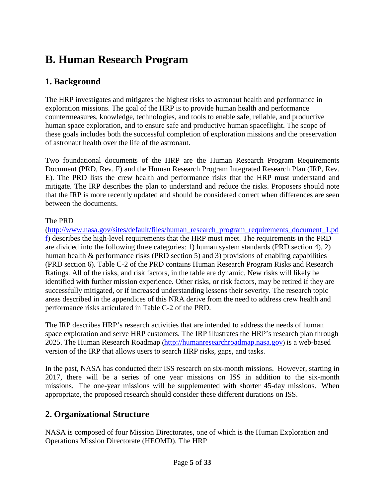# <span id="page-4-0"></span>**B. Human Research Program**

## <span id="page-4-1"></span>**1. Background**

The HRP investigates and mitigates the highest risks to astronaut health and performance in exploration missions. The goal of the HRP is to provide human health and performance countermeasures, knowledge, technologies, and tools to enable safe, reliable, and productive human space exploration, and to ensure safe and productive human spaceflight. The scope of these goals includes both the successful completion of exploration missions and the preservation of astronaut health over the life of the astronaut.

Two foundational documents of the HRP are the Human Research Program Requirements Document (PRD, Rev. F) and the Human Research Program Integrated Research Plan (IRP, Rev. E). The PRD lists the crew health and performance risks that the HRP must understand and mitigate. The IRP describes the plan to understand and reduce the risks. Proposers should note that the IRP is more recently updated and should be considered correct when differences are seen between the documents.

#### The PRD

[\(http://www.nasa.gov/sites/default/files/human\\_research\\_program\\_requirements\\_document\\_1.pd](http://www.nasa.gov/sites/default/files/human_research_program_requirements_document_1.pdf) [f\)](http://www.nasa.gov/sites/default/files/human_research_program_requirements_document_1.pdf) describes the high-level requirements that the HRP must meet. The requirements in the PRD are divided into the following three categories: 1) human system standards (PRD section 4), 2) human health & performance risks (PRD section 5) and 3) provisions of enabling capabilities (PRD section 6). Table C-2 of the PRD contains Human Research Program Risks and Research Ratings. All of the risks, and risk factors, in the table are dynamic. New risks will likely be identified with further mission experience. Other risks, or risk factors, may be retired if they are successfully mitigated, or if increased understanding lessens their severity. The research topic areas described in the appendices of this NRA derive from the need to address crew health and performance risks articulated in Table C-2 of the PRD.

The IRP describes HRP's research activities that are intended to address the needs of human space exploration and serve HRP customers. The IRP illustrates the HRP's research plan through 2025. The Human Research Roadmap [\(http://humanresearchroadmap.nasa.gov\)](http://humanresearchroadmap.nasa.gov/) is a web-based version of the IRP that allows users to search HRP risks, gaps, and tasks.

In the past, NASA has conducted their ISS research on six-month missions. However, starting in 2017, there will be a series of one year missions on ISS in addition to the six-month missions. The one-year missions will be supplemented with shorter 45-day missions. When appropriate, the proposed research should consider these different durations on ISS.

## <span id="page-4-2"></span>**2. Organizational Structure**

NASA is composed of four Mission Directorates, one of which is the Human Exploration and Operations Mission Directorate (HEOMD). The HRP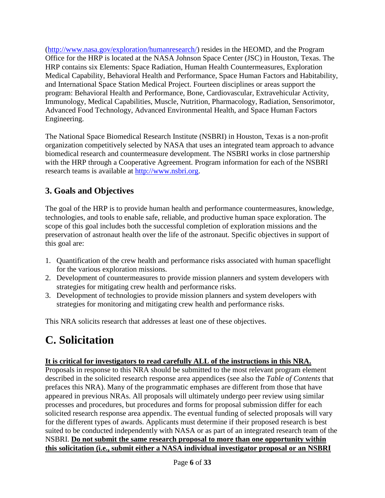[\(http://www.nasa.gov/exploration/humanresearch/\)](http://www.nasa.gov/exploration/humanresearch/) resides in the HEOMD, and the Program Office for the HRP is located at the NASA Johnson Space Center (JSC) in Houston, Texas. The HRP contains six Elements: Space Radiation, Human Health Countermeasures, Exploration Medical Capability, Behavioral Health and Performance, Space Human Factors and Habitability, and International Space Station Medical Project. Fourteen disciplines or areas support the program: Behavioral Health and Performance, Bone, Cardiovascular, Extravehicular Activity, Immunology, Medical Capabilities, Muscle, Nutrition, Pharmacology, Radiation, Sensorimotor, Advanced Food Technology, Advanced Environmental Health, and Space Human Factors Engineering.

The National Space Biomedical Research Institute (NSBRI) in Houston, Texas is a non-profit organization competitively selected by NASA that uses an integrated team approach to advance biomedical research and countermeasure development. The NSBRI works in close partnership with the HRP through a Cooperative Agreement. Program information for each of the NSBRI research teams is available at [http://www.nsbri.org.](http://www.nsbri.org/)

## <span id="page-5-0"></span>**3. Goals and Objectives**

The goal of the HRP is to provide human health and performance countermeasures, knowledge, technologies, and tools to enable safe, reliable, and productive human space exploration. The scope of this goal includes both the successful completion of exploration missions and the preservation of astronaut health over the life of the astronaut. Specific objectives in support of this goal are:

- 1. Quantification of the crew health and performance risks associated with human spaceflight for the various exploration missions.
- 2. Development of countermeasures to provide mission planners and system developers with strategies for mitigating crew health and performance risks.
- 3. Development of technologies to provide mission planners and system developers with strategies for monitoring and mitigating crew health and performance risks.

This NRA solicits research that addresses at least one of these objectives.

# <span id="page-5-1"></span>**C. Solicitation**

### **It is critical for investigators to read carefully ALL of the instructions in this NRA.**

Proposals in response to this NRA should be submitted to the most relevant program element described in the solicited research response area appendices (see also the *Table of Contents* that prefaces this NRA). Many of the programmatic emphases are different from those that have appeared in previous NRAs. All proposals will ultimately undergo peer review using similar processes and procedures, but procedures and forms for proposal submission differ for each solicited research response area appendix. The eventual funding of selected proposals will vary for the different types of awards. Applicants must determine if their proposed research is best suited to be conducted independently with NASA or as part of an integrated research team of the NSBRI. **Do not submit the same research proposal to more than one opportunity within this solicitation (i.e., submit either a NASA individual investigator proposal or an NSBRI**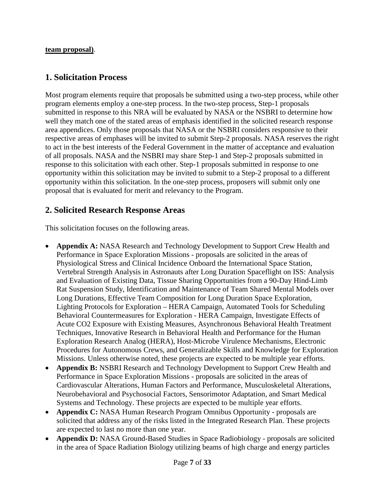#### **team proposal)**.

### <span id="page-6-0"></span>**1. Solicitation Process**

Most program elements require that proposals be submitted using a two-step process, while other program elements employ a one-step process. In the two-step process, Step-1 proposals submitted in response to this NRA will be evaluated by NASA or the NSBRI to determine how well they match one of the stated areas of emphasis identified in the solicited research response area appendices. Only those proposals that NASA or the NSBRI considers responsive to their respective areas of emphases will be invited to submit Step-2 proposals. NASA reserves the right to act in the best interests of the Federal Government in the matter of acceptance and evaluation of all proposals. NASA and the NSBRI may share Step-1 and Step-2 proposals submitted in response to this solicitation with each other. Step-1 proposals submitted in response to one opportunity within this solicitation may be invited to submit to a Step-2 proposal to a different opportunity within this solicitation. In the one-step process, proposers will submit only one proposal that is evaluated for merit and relevancy to the Program.

### <span id="page-6-1"></span>**2. Solicited Research Response Areas**

This solicitation focuses on the following areas.

- **Appendix A:** NASA Research and Technology Development to Support Crew Health and Performance in Space Exploration Missions - proposals are solicited in the areas of Physiological Stress and Clinical Incidence Onboard the International Space Station, Vertebral Strength Analysis in Astronauts after Long Duration Spaceflight on ISS: Analysis and Evaluation of Existing Data, Tissue Sharing Opportunities from a 90-Day Hind-Limb Rat Suspension Study, Identification and Maintenance of Team Shared Mental Models over Long Durations, Effective Team Composition for Long Duration Space Exploration, Lighting Protocols for Exploration – HERA Campaign, Automated Tools for Scheduling Behavioral Countermeasures for Exploration - HERA Campaign, Investigate Effects of Acute CO2 Exposure with Existing Measures, Asynchronous Behavioral Health Treatment Techniques, Innovative Research in Behavioral Health and Performance for the Human Exploration Research Analog (HERA), Host-Microbe Virulence Mechanisms, Electronic Procedures for Autonomous Crews, and Generalizable Skills and Knowledge for Exploration Missions. Unless otherwise noted, these projects are expected to be multiple year efforts.
- **Appendix B:** NSBRI Research and Technology Development to Support Crew Health and Performance in Space Exploration Missions - proposals are solicited in the areas of Cardiovascular Alterations, Human Factors and Performance, Musculoskeletal Alterations, Neurobehavioral and Psychosocial Factors, Sensorimotor Adaptation, and Smart Medical Systems and Technology. These projects are expected to be multiple year efforts.
- **Appendix C:** NASA Human Research Program Omnibus Opportunity proposals are solicited that address any of the risks listed in the Integrated Research Plan. These projects are expected to last no more than one year.
- **Appendix D:** NASA Ground-Based Studies in Space Radiobiology proposals are solicited in the area of Space Radiation Biology utilizing beams of high charge and energy particles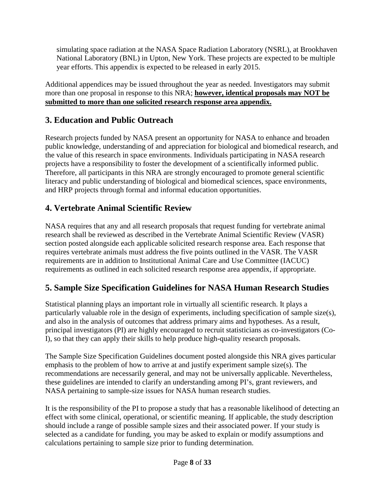simulating space radiation at the NASA Space Radiation Laboratory (NSRL), at Brookhaven National Laboratory (BNL) in Upton, New York. These projects are expected to be multiple year efforts. This appendix is expected to be released in early 2015.

Additional appendices may be issued throughout the year as needed. Investigators may submit more than one proposal in response to this NRA; **however, identical proposals may NOT be submitted to more than one solicited research response area appendix.**

## <span id="page-7-0"></span>**3. Education and Public Outreach**

Research projects funded by NASA present an opportunity for NASA to enhance and broaden public knowledge, understanding of and appreciation for biological and biomedical research, and the value of this research in space environments. Individuals participating in NASA research projects have a responsibility to foster the development of a scientifically informed public. Therefore, all participants in this NRA are strongly encouraged to promote general scientific literacy and public understanding of biological and biomedical sciences, space environments, and HRP projects through formal and informal education opportunities.

## <span id="page-7-1"></span>**4. Vertebrate Animal Scientific Review**

NASA requires that any and all research proposals that request funding for vertebrate animal research shall be reviewed as described in the Vertebrate Animal Scientific Review (VASR) section posted alongside each applicable solicited research response area. Each response that requires vertebrate animals must address the five points outlined in the VASR. The VASR requirements are in addition to Institutional Animal Care and Use Committee (IACUC) requirements as outlined in each solicited research response area appendix, if appropriate.

## <span id="page-7-2"></span>**5. Sample Size Specification Guidelines for NASA Human Research Studies**

Statistical planning plays an important role in virtually all scientific research. It plays a particularly valuable role in the design of experiments, including specification of sample size(s), and also in the analysis of outcomes that address primary aims and hypotheses. As a result, principal investigators (PI) are highly encouraged to recruit statisticians as co-investigators (Co-I), so that they can apply their skills to help produce high-quality research proposals.

The Sample Size Specification Guidelines document posted alongside this NRA gives particular emphasis to the problem of how to arrive at and justify experiment sample size(s). The recommendations are necessarily general, and may not be universally applicable. Nevertheless, these guidelines are intended to clarify an understanding among PI's, grant reviewers, and NASA pertaining to sample-size issues for NASA human research studies.

It is the responsibility of the PI to propose a study that has a reasonable likelihood of detecting an effect with some clinical, operational, or scientific meaning. If applicable, the study description should include a range of possible sample sizes and their associated power. If your study is selected as a candidate for funding, you may be asked to explain or modify assumptions and calculations pertaining to sample size prior to funding determination.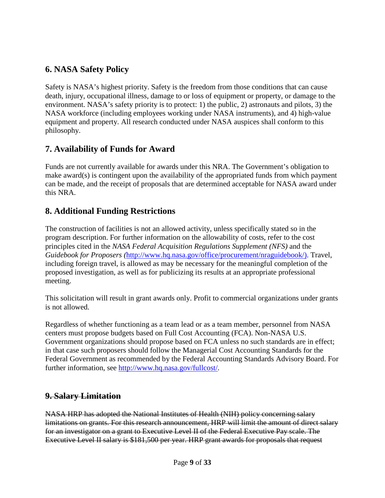### <span id="page-8-0"></span>**6. NASA Safety Policy**

Safety is NASA's highest priority. Safety is the freedom from those conditions that can cause death, injury, occupational illness, damage to or loss of equipment or property, or damage to the environment. NASA's safety priority is to protect: 1) the public, 2) astronauts and pilots, 3) the NASA workforce (including employees working under NASA instruments), and 4) high-value equipment and property. All research conducted under NASA auspices shall conform to this philosophy.

### <span id="page-8-1"></span>**7. Availability of Funds for Award**

Funds are not currently available for awards under this NRA. The Government's obligation to make award(s) is contingent upon the availability of the appropriated funds from which payment can be made, and the receipt of proposals that are determined acceptable for NASA award under this NRA.

### <span id="page-8-2"></span>**8. Additional Funding Restrictions**

The construction of facilities is not an allowed activity, unless specifically stated so in the program description. For further information on the allowability of costs, refer to the cost principles cited in the *NASA Federal Acquisition Regulations Supplement (NFS)* and the *Guidebook for Proposers (*[http://www.hq.nasa.gov/office/procurement/nraguidebook/\)](http://www.hq.nasa.gov/office/procurement/nraguidebook/). Travel, including foreign travel, is allowed as may be necessary for the meaningful completion of the proposed investigation, as well as for publicizing its results at an appropriate professional meeting.

This solicitation will result in grant awards only. Profit to commercial organizations under grants is not allowed.

Regardless of whether functioning as a team lead or as a team member, personnel from NASA centers must propose budgets based on Full Cost Accounting (FCA). Non-NASA U.S. Government organizations should propose based on FCA unless no such standards are in effect; in that case such proposers should follow the Managerial Cost Accounting Standards for the Federal Government as recommended by the Federal Accounting Standards Advisory Board. For further information, see [http://www.hq.nasa.gov/fullcost/.](http://www.hq.nasa.gov/fullcost/)

### <span id="page-8-3"></span>**9. Salary Limitation**

NASA HRP has adopted the National Institutes of Health (NIH) policy concerning salary limitations on grants. For this research announcement, HRP will limit the amount of direct salary for an investigator on a grant to Executive Level II of the Federal Executive Pay scale. The Executive Level II salary is \$181,500 per year. HRP grant awards for proposals that request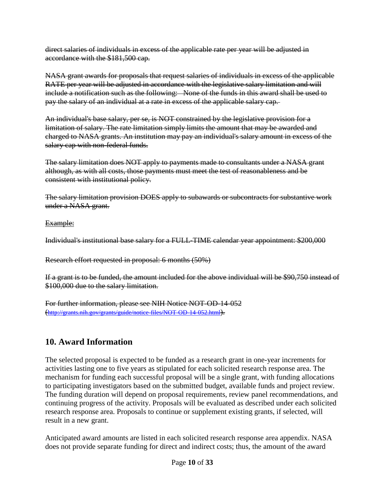direct salaries of individuals in excess of the applicable rate per year will be adjusted in accordance with the \$181,500 cap.

NASA grant awards for proposals that request salaries of individuals in excess of the applicable RATE per year will be adjusted in accordance with the legislative salary limitation and will include a notification such as the following: None of the funds in this award shall be used to pay the salary of an individual at a rate in excess of the applicable salary cap.

An individual's base salary, per se, is NOT constrained by the legislative provision for a limitation of salary. The rate limitation simply limits the amount that may be awarded and charged to NASA grants. An institution may pay an individual's salary amount in excess of the salary cap with non-federal funds.

The salary limitation does NOT apply to payments made to consultants under a NASA grant although, as with all costs, those payments must meet the test of reasonableness and be consistent with institutional policy.

The salary limitation provision DOES apply to subawards or subcontracts for substantive work under a NASA grant.

#### Example:

Individual's institutional base salary for a FULL-TIME calendar year appointment: \$200,000

Research effort requested in proposal: 6 months (50%)

If a grant is to be funded, the amount included for the above individual will be \$90,750 instead of \$100,000 due to the salary limitation.

For further information, please see NIH Notice NOT-OD-14-052 [\(http://grants.nih.gov/grants/guide/notice-files/NOT-OD-14-052.html\)](http://grants.nih.gov/grants/guide/notice-files/NOT-OD-14-052.html).

## <span id="page-9-0"></span>**10. Award Information**

The selected proposal is expected to be funded as a research grant in one-year increments for activities lasting one to five years as stipulated for each solicited research response area. The mechanism for funding each successful proposal will be a single grant, with funding allocations to participating investigators based on the submitted budget, available funds and project review. The funding duration will depend on proposal requirements, review panel recommendations, and continuing progress of the activity. Proposals will be evaluated as described under each solicited research response area. Proposals to continue or supplement existing grants, if selected, will result in a new grant.

Anticipated award amounts are listed in each solicited research response area appendix. NASA does not provide separate funding for direct and indirect costs; thus, the amount of the award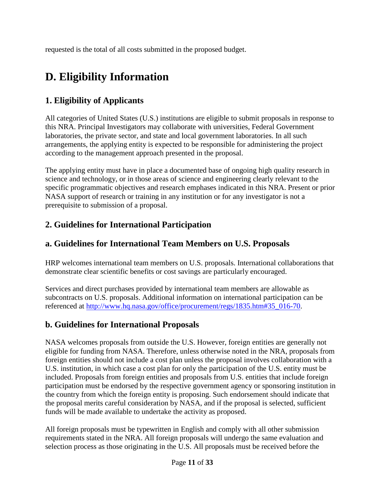requested is the total of all costs submitted in the proposed budget.

# <span id="page-10-0"></span>**D. Eligibility Information**

## <span id="page-10-1"></span>**1. Eligibility of Applicants**

All categories of United States (U.S.) institutions are eligible to submit proposals in response to this NRA. Principal Investigators may collaborate with universities, Federal Government laboratories, the private sector, and state and local government laboratories. In all such arrangements, the applying entity is expected to be responsible for administering the project according to the management approach presented in the proposal.

The applying entity must have in place a documented base of ongoing high quality research in science and technology, or in those areas of science and engineering clearly relevant to the specific programmatic objectives and research emphases indicated in this NRA. Present or prior NASA support of research or training in any institution or for any investigator is not a prerequisite to submission of a proposal.

## <span id="page-10-2"></span>**2. Guidelines for International Participation**

## <span id="page-10-3"></span>**a. Guidelines for International Team Members on U.S. Proposals**

HRP welcomes international team members on U.S. proposals. International collaborations that demonstrate clear scientific benefits or cost savings are particularly encouraged.

Services and direct purchases provided by international team members are allowable as subcontracts on U.S. proposals. Additional information on international participation can be referenced at [http://www.hq.nasa.gov/office/procurement/regs/1835.htm#35\\_016-70.](http://www.hq.nasa.gov/office/procurement/regs/1835.htm%2335_016-70)

## <span id="page-10-4"></span>**b. Guidelines for International Proposals**

NASA welcomes proposals from outside the U.S. However, foreign entities are generally not eligible for funding from NASA. Therefore, unless otherwise noted in the NRA, proposals from foreign entities should not include a cost plan unless the proposal involves collaboration with a U.S. institution, in which case a cost plan for only the participation of the U.S. entity must be included. Proposals from foreign entities and proposals from U.S. entities that include foreign participation must be endorsed by the respective government agency or sponsoring institution in the country from which the foreign entity is proposing. Such endorsement should indicate that the proposal merits careful consideration by NASA, and if the proposal is selected, sufficient funds will be made available to undertake the activity as proposed.

All foreign proposals must be typewritten in English and comply with all other submission requirements stated in the NRA. All foreign proposals will undergo the same evaluation and selection process as those originating in the U.S. All proposals must be received before the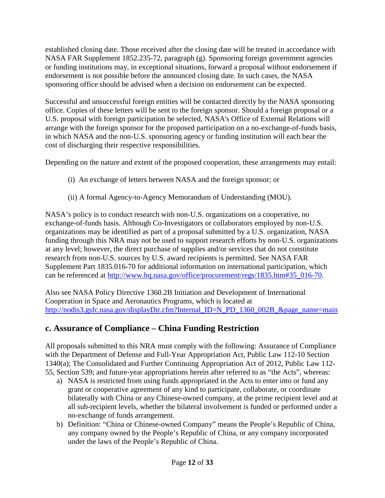established closing date. Those received after the closing date will be treated in accordance with NASA FAR Supplement 1852.235-72, paragraph (g). Sponsoring foreign government agencies or funding institutions may, in exceptional situations, forward a proposal without endorsement if endorsement is not possible before the announced closing date. In such cases, the NASA sponsoring office should be advised when a decision on endorsement can be expected.

Successful and unsuccessful foreign entities will be contacted directly by the NASA sponsoring office. Copies of these letters will be sent to the foreign sponsor. Should a foreign proposal or a U.S. proposal with foreign participation be selected, NASA's Office of External Relations will arrange with the foreign sponsor for the proposed participation on a no-exchange-of-funds basis, in which NASA and the non-U.S. sponsoring agency or funding institution will each bear the cost of discharging their respective responsibilities.

Depending on the nature and extent of the proposed cooperation, these arrangements may entail:

- (i) An exchange of letters between NASA and the foreign sponsor; or
- (ii) A formal Agency-to-Agency Memorandum of Understanding (MOU).

NASA's policy is to conduct research with non-U.S. organizations on a cooperative, no exchange-of-funds basis. Although Co-Investigators or collaborators employed by non-U.S. organizations may be identified as part of a proposal submitted by a U.S. organization, NASA funding through this NRA may not be used to support research efforts by non-U.S. organizations at any level; however, the direct purchase of supplies and/or services that do not constitute research from non-U.S. sources by U.S. award recipients is permitted. See NASA FAR Supplement Part 1835.016-70 for additional information on international participation, which can be referenced at [http://www.hq.nasa.gov/office/procurement/regs/1835.htm#35\\_016-70.](http://www.hq.nasa.gov/office/procurement/regs/1835.htm%2335_016-70)

Also see NASA Policy Directive 1360.2B Initiation and Development of International Cooperation in Space and Aeronautics Programs, which is located at [http://nodis3.gsfc.nasa.gov/displayDir.cfm?Internal\\_ID=N\\_PD\\_1360\\_002B\\_&page\\_name=main](http://nodis3.gsfc.nasa.gov/displayDir.cfm?Internal_ID=N_PD_1360_002B_&page_name=main)

## <span id="page-11-0"></span>**c. Assurance of Compliance – China Funding Restriction**

All proposals submitted to this NRA must comply with the following: Assurance of Compliance with the Department of Defense and Full-Year Appropriation Act, Public Law 112-10 Section 1340(a); The Consolidated and Further Continuing Appropriation Act of 2012, Public Law 112- 55, Section 539; and future-year appropriations herein after referred to as "the Acts", whereas:

- a) NASA is restricted from using funds appropriated in the Acts to enter into or fund any grant or cooperative agreement of any kind to participate, collaborate, or coordinate bilaterally with China or any Chinese-owned company, at the prime recipient level and at all sub-recipient levels, whether the bilateral involvement is funded or performed under a no-exchange of funds arrangement.
- b) Definition: "China or Chinese-owned Company" means the People's Republic of China, any company owned by the People's Republic of China, or any company incorporated under the laws of the People's Republic of China.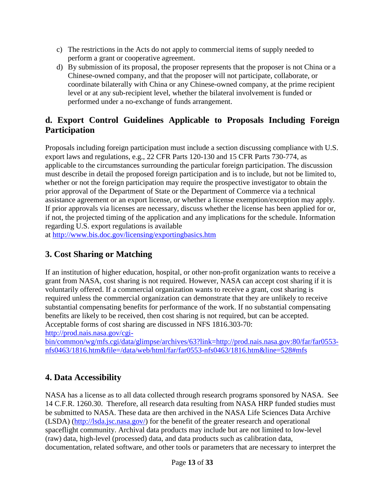- c) The restrictions in the Acts do not apply to commercial items of supply needed to perform a grant or cooperative agreement.
- d) By submission of its proposal, the proposer represents that the proposer is not China or a Chinese-owned company, and that the proposer will not participate, collaborate, or coordinate bilaterally with China or any Chinese-owned company, at the prime recipient level or at any sub-recipient level, whether the bilateral involvement is funded or performed under a no-exchange of funds arrangement.

## <span id="page-12-0"></span>**d. Export Control Guidelines Applicable to Proposals Including Foreign Participation**

Proposals including foreign participation must include a section discussing compliance with U.S. export laws and regulations, e.g., 22 CFR Parts 120-130 and 15 CFR Parts 730-774, as applicable to the circumstances surrounding the particular foreign participation. The discussion must describe in detail the proposed foreign participation and is to include, but not be limited to, whether or not the foreign participation may require the prospective investigator to obtain the prior approval of the Department of State or the Department of Commerce via a technical assistance agreement or an export license, or whether a license exemption/exception may apply. If prior approvals via licenses are necessary, discuss whether the license has been applied for or, if not, the projected timing of the application and any implications for the schedule. Information regarding U.S. export regulations is available

at <http://www.bis.doc.gov/licensing/exportingbasics.htm>

## <span id="page-12-1"></span>**3. Cost Sharing or Matching**

If an institution of higher education, hospital, or other non-profit organization wants to receive a grant from NASA, cost sharing is not required. However, NASA can accept cost sharing if it is voluntarily offered. If a commercial organization wants to receive a grant, cost sharing is required unless the commercial organization can demonstrate that they are unlikely to receive substantial compensating benefits for performance of the work. If no substantial compensating benefits are likely to be received, then cost sharing is not required, but can be accepted. Acceptable forms of cost sharing are discussed in NFS 1816.303-70:

[http://prod.nais.nasa.gov/cgi-](http://prod.nais.nasa.gov/cgi-bin/common/wg/mfs.cgi/data/glimpse/archives/63?link=http://prod.nais.nasa.gov:80/far/far0553-nfs0463/1816.htm&file=/data/web/html/far/far0553-nfs0463/1816.htm&line=528%23mfs)

[bin/common/wg/mfs.cgi/data/glimpse/archives/63?link=http://prod.nais.nasa.gov:80/far/far0553](http://prod.nais.nasa.gov/cgi-bin/common/wg/mfs.cgi/data/glimpse/archives/63?link=http://prod.nais.nasa.gov:80/far/far0553-nfs0463/1816.htm&file=/data/web/html/far/far0553-nfs0463/1816.htm&line=528%23mfs) [nfs0463/1816.htm&file=/data/web/html/far/far0553-nfs0463/1816.htm&line=528#mfs](http://prod.nais.nasa.gov/cgi-bin/common/wg/mfs.cgi/data/glimpse/archives/63?link=http://prod.nais.nasa.gov:80/far/far0553-nfs0463/1816.htm&file=/data/web/html/far/far0553-nfs0463/1816.htm&line=528%23mfs)

## <span id="page-12-2"></span>**4. Data Accessibility**

NASA has a license as to all data collected through research programs sponsored by NASA. See 14 C.F.R. 1260.30. Therefore, all research data resulting from NASA HRP funded studies must be submitted to NASA. These data are then archived in the NASA Life Sciences Data Archive (LSDA) [\(http://lsda.jsc.nasa.gov/\)](http://lsda.jsc.nasa.gov/) for the benefit of the greater research and operational spaceflight community. Archival data products may include but are not limited to low-level (raw) data, high-level (processed) data, and data products such as calibration data, documentation, related software, and other tools or parameters that are necessary to interpret the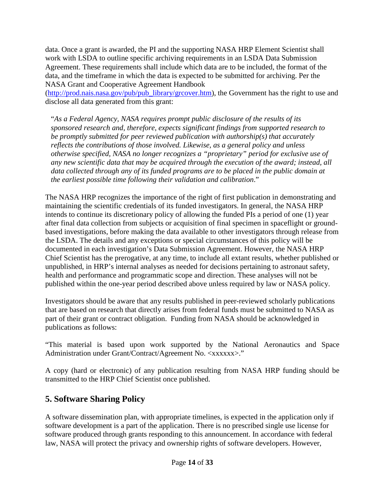data. Once a grant is awarded, the PI and the supporting NASA HRP Element Scientist shall work with LSDA to outline specific archiving requirements in an LSDA Data Submission Agreement. These requirements shall include which data are to be included, the format of the data, and the timeframe in which the data is expected to be submitted for archiving. Per the NASA Grant and Cooperative Agreement Handbook

[\(http://prod.nais.nasa.gov/pub/pub\\_library/grcover.htm\)](http://prod.nais.nasa.gov/pub/pub_library/grcover.htm), the Government has the right to use and disclose all data generated from this grant:

"*As a Federal Agency, NASA requires prompt public disclosure of the results of its sponsored research and, therefore, expects significant findings from supported research to be promptly submitted for peer reviewed publication with authorship(s) that accurately reflects the contributions of those involved. Likewise, as a general policy and unless otherwise specified, NASA no longer recognizes a "proprietary" period for exclusive use of any new scientific data that may be acquired through the execution of the award; instead, all data collected through any of its funded programs are to be placed in the public domain at the earliest possible time following their validation and calibration*."

The NASA HRP recognizes the importance of the right of first publication in demonstrating and maintaining the scientific credentials of its funded investigators. In general, the NASA HRP intends to continue its discretionary policy of allowing the funded PIs a period of one (1) year after final data collection from subjects or acquisition of final specimen in spaceflight or groundbased investigations, before making the data available to other investigators through release from the LSDA. The details and any exceptions or special circumstances of this policy will be documented in each investigation's Data Submission Agreement. However, the NASA HRP Chief Scientist has the prerogative, at any time, to include all extant results, whether published or unpublished, in HRP's internal analyses as needed for decisions pertaining to astronaut safety, health and performance and programmatic scope and direction. These analyses will not be published within the one-year period described above unless required by law or NASA policy.

Investigators should be aware that any results published in peer-reviewed scholarly publications that are based on research that directly arises from federal funds must be submitted to NASA as part of their grant or contract obligation. Funding from NASA should be acknowledged in publications as follows:

"This material is based upon work supported by the National Aeronautics and Space Administration under Grant/Contract/Agreement No. <xxxxxx>."

A copy (hard or electronic) of any publication resulting from NASA HRP funding should be transmitted to the HRP Chief Scientist once published.

## <span id="page-13-0"></span>**5. Software Sharing Policy**

A software dissemination plan, with appropriate timelines, is expected in the application only if software development is a part of the application. There is no prescribed single use license for software produced through grants responding to this announcement. In accordance with federal law, NASA will protect the privacy and ownership rights of software developers. However,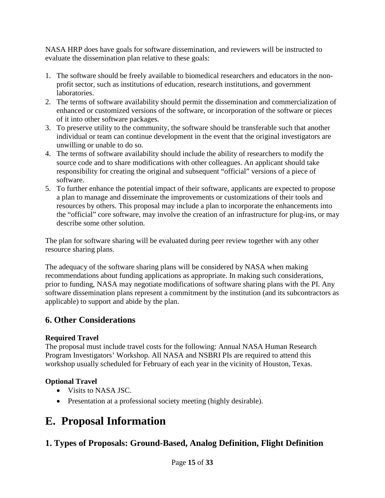NASA HRP does have goals for software dissemination, and reviewers will be instructed to evaluate the dissemination plan relative to these goals:

- 1. The software should be freely available to biomedical researchers and educators in the nonprofit sector, such as institutions of education, research institutions, and government laboratories.
- 2. The terms of software availability should permit the dissemination and commercialization of enhanced or customized versions of the software, or incorporation of the software or pieces of it into other software packages.
- 3. To preserve utility to the community, the software should be transferable such that another individual or team can continue development in the event that the original investigators are unwilling or unable to do so.
- 4. The terms of software availability should include the ability of researchers to modify the source code and to share modifications with other colleagues. An applicant should take responsibility for creating the original and subsequent "official" versions of a piece of software.
- 5. To further enhance the potential impact of their software, applicants are expected to propose a plan to manage and disseminate the improvements or customizations of their tools and resources by others. This proposal may include a plan to incorporate the enhancements into the "official" core software, may involve the creation of an infrastructure for plug-ins, or may describe some other solution.

The plan for software sharing will be evaluated during peer review together with any other resource sharing plans.

The adequacy of the software sharing plans will be considered by NASA when making recommendations about funding applications as appropriate. In making such considerations, prior to funding, NASA may negotiate modifications of software sharing plans with the PI. Any software dissemination plans represent a commitment by the institution (and its subcontractors as applicable) to support and abide by the plan.

## <span id="page-14-0"></span>**6. Other Considerations**

### **Required Travel**

The proposal must include travel costs for the following: Annual NASA Human Research Program Investigators' Workshop. All NASA and NSBRI PIs are required to attend this workshop usually scheduled for February of each year in the vicinity of Houston, Texas.

### **Optional Travel**

- Visits to NASA JSC.
- Presentation at a professional society meeting (highly desirable).

## <span id="page-14-1"></span>**E. Proposal Information**

## <span id="page-14-2"></span>**1. Types of Proposals: Ground-Based, Analog Definition, Flight Definition**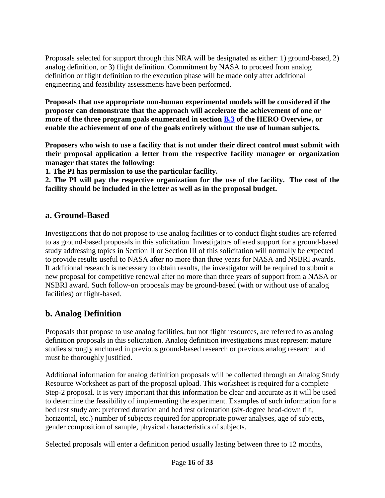Proposals selected for support through this NRA will be designated as either: 1) ground-based, 2) analog definition, or 3) flight definition. Commitment by NASA to proceed from analog definition or flight definition to the execution phase will be made only after additional engineering and feasibility assessments have been performed.

**Proposals that use appropriate non-human experimental models will be considered if the proposer can demonstrate that the approach will accelerate the achievement of one or more of the three program goals enumerated in section [B.3](#page-5-0) of the HERO Overview, or enable the achievement of one of the goals entirely without the use of human subjects.**

**Proposers who wish to use a facility that is not under their direct control must submit with their proposal application a letter from the respective facility manager or organization manager that states the following:**

**1. The PI has permission to use the particular facility.**

**2. The PI will pay the respective organization for the use of the facility. The cost of the facility should be included in the letter as well as in the proposal budget.**

### <span id="page-15-0"></span>**a. Ground-Based**

Investigations that do not propose to use analog facilities or to conduct flight studies are referred to as ground-based proposals in this solicitation. Investigators offered support for a ground-based study addressing topics in Section II or Section III of this solicitation will normally be expected to provide results useful to NASA after no more than three years for NASA and NSBRI awards. If additional research is necessary to obtain results, the investigator will be required to submit a new proposal for competitive renewal after no more than three years of support from a NASA or NSBRI award. Such follow-on proposals may be ground-based (with or without use of analog facilities) or flight-based.

## <span id="page-15-1"></span>**b. Analog Definition**

Proposals that propose to use analog facilities, but not flight resources, are referred to as analog definition proposals in this solicitation. Analog definition investigations must represent mature studies strongly anchored in previous ground-based research or previous analog research and must be thoroughly justified.

Additional information for analog definition proposals will be collected through an Analog Study Resource Worksheet as part of the proposal upload. This worksheet is required for a complete Step-2 proposal. It is very important that this information be clear and accurate as it will be used to determine the feasibility of implementing the experiment. Examples of such information for a bed rest study are: preferred duration and bed rest orientation (six-degree head-down tilt, horizontal, etc.) number of subjects required for appropriate power analyses, age of subjects, gender composition of sample, physical characteristics of subjects.

Selected proposals will enter a definition period usually lasting between three to 12 months,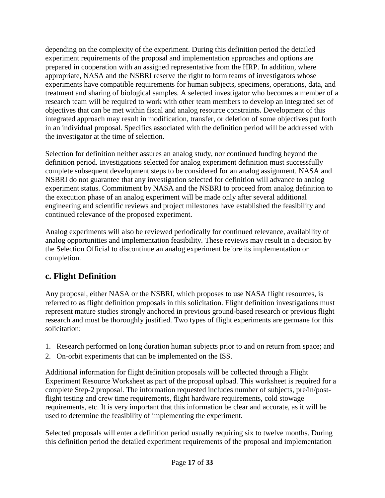depending on the complexity of the experiment. During this definition period the detailed experiment requirements of the proposal and implementation approaches and options are prepared in cooperation with an assigned representative from the HRP. In addition, where appropriate, NASA and the NSBRI reserve the right to form teams of investigators whose experiments have compatible requirements for human subjects, specimens, operations, data, and treatment and sharing of biological samples. A selected investigator who becomes a member of a research team will be required to work with other team members to develop an integrated set of objectives that can be met within fiscal and analog resource constraints. Development of this integrated approach may result in modification, transfer, or deletion of some objectives put forth in an individual proposal. Specifics associated with the definition period will be addressed with the investigator at the time of selection.

Selection for definition neither assures an analog study, nor continued funding beyond the definition period. Investigations selected for analog experiment definition must successfully complete subsequent development steps to be considered for an analog assignment. NASA and NSBRI do not guarantee that any investigation selected for definition will advance to analog experiment status. Commitment by NASA and the NSBRI to proceed from analog definition to the execution phase of an analog experiment will be made only after several additional engineering and scientific reviews and project milestones have established the feasibility and continued relevance of the proposed experiment.

Analog experiments will also be reviewed periodically for continued relevance, availability of analog opportunities and implementation feasibility. These reviews may result in a decision by the Selection Official to discontinue an analog experiment before its implementation or completion.

## <span id="page-16-0"></span>**c. Flight Definition**

Any proposal, either NASA or the NSBRI, which proposes to use NASA flight resources, is referred to as flight definition proposals in this solicitation. Flight definition investigations must represent mature studies strongly anchored in previous ground-based research or previous flight research and must be thoroughly justified. Two types of flight experiments are germane for this solicitation:

- 1. Research performed on long duration human subjects prior to and on return from space; and
- 2. On-orbit experiments that can be implemented on the ISS.

Additional information for flight definition proposals will be collected through a Flight Experiment Resource Worksheet as part of the proposal upload. This worksheet is required for a complete Step-2 proposal. The information requested includes number of subjects, pre/in/postflight testing and crew time requirements, flight hardware requirements, cold stowage requirements, etc. It is very important that this information be clear and accurate, as it will be used to determine the feasibility of implementing the experiment.

Selected proposals will enter a definition period usually requiring six to twelve months. During this definition period the detailed experiment requirements of the proposal and implementation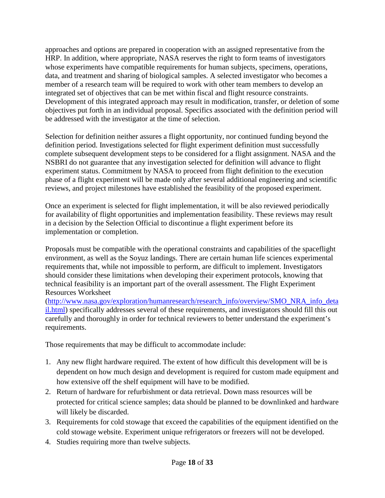approaches and options are prepared in cooperation with an assigned representative from the HRP. In addition, where appropriate, NASA reserves the right to form teams of investigators whose experiments have compatible requirements for human subjects, specimens, operations, data, and treatment and sharing of biological samples. A selected investigator who becomes a member of a research team will be required to work with other team members to develop an integrated set of objectives that can be met within fiscal and flight resource constraints. Development of this integrated approach may result in modification, transfer, or deletion of some objectives put forth in an individual proposal. Specifics associated with the definition period will be addressed with the investigator at the time of selection.

Selection for definition neither assures a flight opportunity, nor continued funding beyond the definition period. Investigations selected for flight experiment definition must successfully complete subsequent development steps to be considered for a flight assignment. NASA and the NSBRI do not guarantee that any investigation selected for definition will advance to flight experiment status. Commitment by NASA to proceed from flight definition to the execution phase of a flight experiment will be made only after several additional engineering and scientific reviews, and project milestones have established the feasibility of the proposed experiment.

Once an experiment is selected for flight implementation, it will be also reviewed periodically for availability of flight opportunities and implementation feasibility. These reviews may result in a decision by the Selection Official to discontinue a flight experiment before its implementation or completion.

Proposals must be compatible with the operational constraints and capabilities of the spaceflight environment, as well as the Soyuz landings. There are certain human life sciences experimental requirements that, while not impossible to perform, are difficult to implement. Investigators should consider these limitations when developing their experiment protocols, knowing that technical feasibility is an important part of the overall assessment. The Flight Experiment Resources Worksheet

[\(http://www.nasa.gov/exploration/humanresearch/research\\_info/overview/SMO\\_NRA\\_info\\_deta](http://www.nasa.gov/exploration/humanresearch/research_info/overview/SMO_NRA_info_detail.html) [il.html\)](http://www.nasa.gov/exploration/humanresearch/research_info/overview/SMO_NRA_info_detail.html) specifically addresses several of these requirements, and investigators should fill this out carefully and thoroughly in order for technical reviewers to better understand the experiment's requirements.

Those requirements that may be difficult to accommodate include:

- 1. Any new flight hardware required. The extent of how difficult this development will be is dependent on how much design and development is required for custom made equipment and how extensive off the shelf equipment will have to be modified.
- 2. Return of hardware for refurbishment or data retrieval. Down mass resources will be protected for critical science samples; data should be planned to be downlinked and hardware will likely be discarded.
- 3. Requirements for cold stowage that exceed the capabilities of the equipment identified on the cold stowage website. Experiment unique refrigerators or freezers will not be developed.
- 4. Studies requiring more than twelve subjects.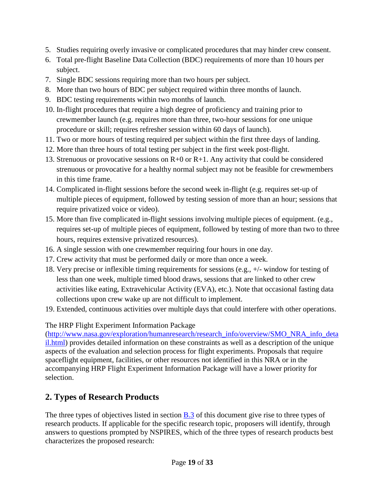- 5. Studies requiring overly invasive or complicated procedures that may hinder crew consent.
- 6. Total pre-flight Baseline Data Collection (BDC) requirements of more than 10 hours per subject.
- 7. Single BDC sessions requiring more than two hours per subject.
- 8. More than two hours of BDC per subject required within three months of launch.
- 9. BDC testing requirements within two months of launch.
- 10. In-flight procedures that require a high degree of proficiency and training prior to crewmember launch (e.g. requires more than three, two-hour sessions for one unique procedure or skill; requires refresher session within 60 days of launch).
- 11. Two or more hours of testing required per subject within the first three days of landing.
- 12. More than three hours of total testing per subject in the first week post-flight.
- 13. Strenuous or provocative sessions on R+0 or R+1. Any activity that could be considered strenuous or provocative for a healthy normal subject may not be feasible for crewmembers in this time frame.
- 14. Complicated in-flight sessions before the second week in-flight (e.g. requires set-up of multiple pieces of equipment, followed by testing session of more than an hour; sessions that require privatized voice or video).
- 15. More than five complicated in-flight sessions involving multiple pieces of equipment. (e.g., requires set-up of multiple pieces of equipment, followed by testing of more than two to three hours, requires extensive privatized resources).
- 16. A single session with one crewmember requiring four hours in one day.
- 17. Crew activity that must be performed daily or more than once a week.
- 18. Very precise or inflexible timing requirements for sessions (e.g., +/- window for testing of less than one week, multiple timed blood draws, sessions that are linked to other crew activities like eating, Extravehicular Activity (EVA), etc.). Note that occasional fasting data collections upon crew wake up are not difficult to implement.
- 19. Extended, continuous activities over multiple days that could interfere with other operations.

The HRP Flight Experiment Information Package

[\(http://www.nasa.gov/exploration/humanresearch/research\\_info/overview/SMO\\_NRA\\_info\\_deta](http://www.nasa.gov/exploration/humanresearch/research_info/overview/SMO_NRA_info_detail.html) [il.html\)](http://www.nasa.gov/exploration/humanresearch/research_info/overview/SMO_NRA_info_detail.html) provides detailed information on these constraints as well as a description of the unique aspects of the evaluation and selection process for flight experiments. Proposals that require spaceflight equipment, facilities, or other resources not identified in this NRA or in the accompanying HRP Flight Experiment Information Package will have a lower priority for selection.

## <span id="page-18-0"></span>**2. Types of Research Products**

The three types of objectives listed in section **B**.3 of this document give rise to three types of research products. If applicable for the specific research topic, proposers will identify, through answers to questions prompted by NSPIRES, which of the three types of research products best characterizes the proposed research: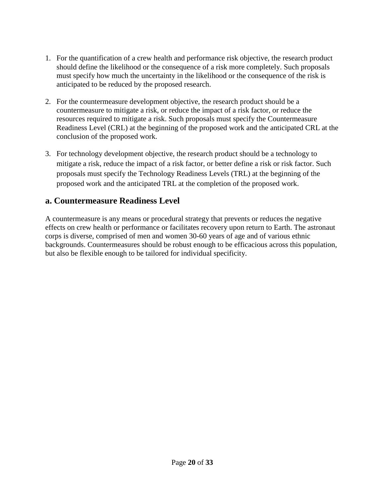- 1. For the quantification of a crew health and performance risk objective, the research product should define the likelihood or the consequence of a risk more completely. Such proposals must specify how much the uncertainty in the likelihood or the consequence of the risk is anticipated to be reduced by the proposed research.
- 2. For the countermeasure development objective, the research product should be a countermeasure to mitigate a risk, or reduce the impact of a risk factor, or reduce the resources required to mitigate a risk. Such proposals must specify the Countermeasure Readiness Level (CRL) at the beginning of the proposed work and the anticipated CRL at the conclusion of the proposed work.
- 3. For technology development objective, the research product should be a technology to mitigate a risk, reduce the impact of a risk factor, or better define a risk or risk factor. Such proposals must specify the Technology Readiness Levels (TRL) at the beginning of the proposed work and the anticipated TRL at the completion of the proposed work.

### <span id="page-19-0"></span>**a. Countermeasure Readiness Level**

A countermeasure is any means or procedural strategy that prevents or reduces the negative effects on crew health or performance or facilitates recovery upon return to Earth. The astronaut corps is diverse, comprised of men and women 30-60 years of age and of various ethnic backgrounds. Countermeasures should be robust enough to be efficacious across this population, but also be flexible enough to be tailored for individual specificity.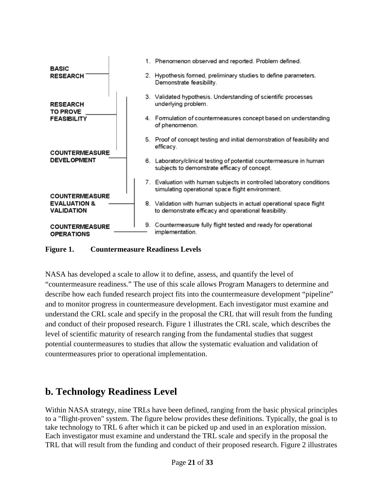

**Figure 1. Countermeasure Readiness Levels**

NASA has developed a scale to allow it to define, assess, and quantify the level of "countermeasure readiness." The use of this scale allows Program Managers to determine and describe how each funded research project fits into the countermeasure development "pipeline" and to monitor progress in countermeasure development. Each investigator must examine and understand the CRL scale and specify in the proposal the CRL that will result from the funding and conduct of their proposed research. Figure 1 illustrates the CRL scale, which describes the level of scientific maturity of research ranging from the fundamental studies that suggest potential countermeasures to studies that allow the systematic evaluation and validation of countermeasures prior to operational implementation.

## <span id="page-20-0"></span>**b. Technology Readiness Level**

Within NASA strategy, nine TRLs have been defined, ranging from the basic physical principles to a "flight-proven" system. The figure below provides these definitions. Typically, the goal is to take technology to TRL 6 after which it can be picked up and used in an exploration mission. Each investigator must examine and understand the TRL scale and specify in the proposal the TRL that will result from the funding and conduct of their proposed research. Figure 2 illustrates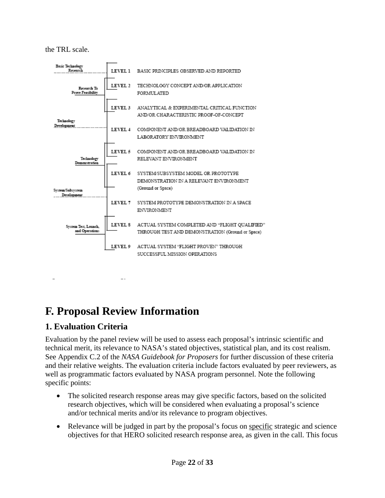the TRL scale.



# <span id="page-21-0"></span>**F. Proposal Review Information**

**Figure 2. Technology Readiness Levels**

## <span id="page-21-1"></span>**1. Evaluation Criteria**

Evaluation by the panel review will be used to assess each proposal's intrinsic scientific and technical merit, its relevance to NASA's stated objectives, statistical plan, and its cost realism. See Appendix C.2 of the *NASA Guidebook for Proposers* for further discussion of these criteria and their relative weights. The evaluation criteria include factors evaluated by peer reviewers, as well as programmatic factors evaluated by NASA program personnel. Note the following specific points:

- The solicited research response areas may give specific factors, based on the solicited research objectives, which will be considered when evaluating a proposal's science and/or technical merits and/or its relevance to program objectives.
- Relevance will be judged in part by the proposal's focus on specific strategic and science objectives for that HERO solicited research response area, as given in the call. This focus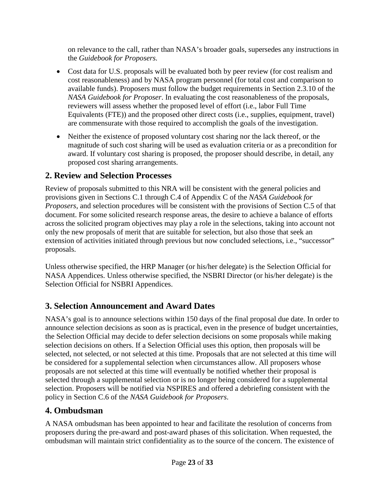on relevance to the call, rather than NASA's broader goals, supersedes any instructions in the *Guidebook for Proposers.*

- Cost data for U.S. proposals will be evaluated both by peer review (for cost realism and cost reasonableness) and by NASA program personnel (for total cost and comparison to available funds). Proposers must follow the budget requirements in Section 2.3.10 of the *NASA Guidebook for Proposer*. In evaluating the cost reasonableness of the proposals, reviewers will assess whether the proposed level of effort (i.e., labor Full Time Equivalents (FTE)) and the proposed other direct costs (i.e., supplies, equipment, travel) are commensurate with those required to accomplish the goals of the investigation.
- Neither the existence of proposed voluntary cost sharing nor the lack thereof, or the magnitude of such cost sharing will be used as evaluation criteria or as a precondition for award. If voluntary cost sharing is proposed, the proposer should describe, in detail, any proposed cost sharing arrangements.

### <span id="page-22-0"></span>**2. Review and Selection Processes**

Review of proposals submitted to this NRA will be consistent with the general policies and provisions given in Sections C.1 through C.4 of Appendix C of the *NASA Guidebook for Proposers*, and selection procedures will be consistent with the provisions of Section C.5 of that document. For some solicited research response areas, the desire to achieve a balance of efforts across the solicited program objectives may play a role in the selections, taking into account not only the new proposals of merit that are suitable for selection, but also those that seek an extension of activities initiated through previous but now concluded selections, i.e., "successor" proposals.

Unless otherwise specified, the HRP Manager (or his/her delegate) is the Selection Official for NASA Appendices. Unless otherwise specified, the NSBRI Director (or his/her delegate) is the Selection Official for NSBRI Appendices.

### <span id="page-22-1"></span>**3. Selection Announcement and Award Dates**

NASA's goal is to announce selections within 150 days of the final proposal due date. In order to announce selection decisions as soon as is practical, even in the presence of budget uncertainties, the Selection Official may decide to defer selection decisions on some proposals while making selection decisions on others. If a Selection Official uses this option, then proposals will be selected, not selected, or not selected at this time. Proposals that are not selected at this time will be considered for a supplemental selection when circumstances allow. All proposers whose proposals are not selected at this time will eventually be notified whether their proposal is selected through a supplemental selection or is no longer being considered for a supplemental selection. Proposers will be notified via NSPIRES and offered a debriefing consistent with the policy in Section C.6 of the *NASA Guidebook for Proposers*.

## <span id="page-22-2"></span>**4. Ombudsman**

A NASA ombudsman has been appointed to hear and facilitate the resolution of concerns from proposers during the pre-award and post-award phases of this solicitation. When requested, the ombudsman will maintain strict confidentiality as to the source of the concern. The existence of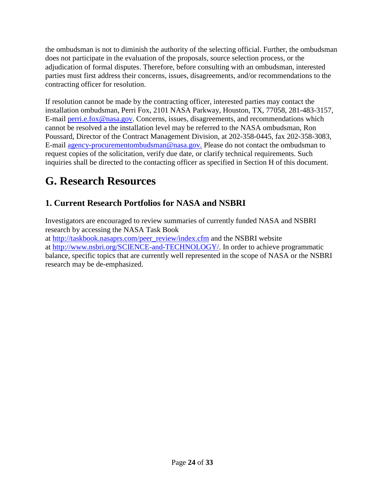the ombudsman is not to diminish the authority of the selecting official. Further, the ombudsman does not participate in the evaluation of the proposals, source selection process, or the adjudication of formal disputes. Therefore, before consulting with an ombudsman, interested parties must first address their concerns, issues, disagreements, and/or recommendations to the contracting officer for resolution.

If resolution cannot be made by the contracting officer, interested parties may contact the installation ombudsman, Perri Fox, 2101 NASA Parkway, Houston, TX, 77058, 281-483-3157, E-mail [perri.e.fox@nasa.gov.](mailto:perri.e.fox@nasa.gov) Concerns, issues, disagreements, and recommendations which cannot be resolved a the installation level may be referred to the NASA ombudsman, Ron Poussard, Director of the Contract Management Division, at 202-358-0445, fax 202-358-3083, E-mail [agency-procurementombudsman@nasa.gov.](mailto:agency-procurementombudsman@nasa.gov) Please do not contact the ombudsman to request copies of the solicitation, verify due date, or clarify technical requirements. Such inquiries shall be directed to the contacting officer as specified in Section H of this document.

# <span id="page-23-0"></span>**G. Research Resources**

## <span id="page-23-1"></span>**1. Current Research Portfolios for NASA and NSBRI**

Investigators are encouraged to review summaries of currently funded NASA and NSBRI research by accessing the NASA Task Book

at [http://taskbook.nasaprs.com/peer\\_review/index.cfm](http://taskbook.nasaprs.com/peer_review/index.cfm) and the NSBRI website at [http://www.nsbri.org/SCIENCE-and-TECHNOLOGY/.](http://www.nsbri.org/SCIENCE-and-TECHNOLOGY/) In order to achieve programmatic balance, specific topics that are currently well represented in the scope of NASA or the NSBRI research may be de-emphasized.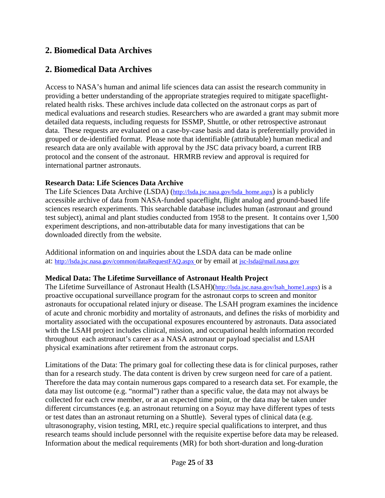### <span id="page-24-0"></span>**2. Biomedical Data Archives**

### **2. Biomedical Data Archives**

Access to NASA's human and animal life sciences data can assist the research community in providing a better understanding of the appropriate strategies required to mitigate spaceflightrelated health risks. These archives include data collected on the astronaut corps as part of medical evaluations and research studies. Researchers who are awarded a grant may submit more detailed data requests, including requests for ISSMP, Shuttle, or other retrospective astronaut data. These requests are evaluated on a case-by-case basis and data is preferentially provided in grouped or de-identified format. Please note that identifiable (attributable) human medical and research data are only available with approval by the JSC data privacy board, a current IRB protocol and the consent of the astronaut. HRMRB review and approval is required for international partner astronauts.

#### **Research Data: Life Sciences Data Archive**

The Life Sciences Data Archive (LSDA) [\(http://lsda.jsc.nasa.gov/lsda\\_home.aspx\)](http://lsda.jsc.nasa.gov/lsda_home.aspx) is a publicly accessible archive of data from NASA-funded spaceflight, flight analog and ground-based life sciences research experiments. This searchable database includes human (astronaut and ground test subject), animal and plant studies conducted from 1958 to the present. It contains over 1,500 experiment descriptions, and non-attributable data for many investigations that can be downloaded directly from the website.

Additional information on and inquiries about the LSDA data can be made online at:<http://lsda.jsc.nasa.gov/common/dataRequestFAQ.aspx> or by email at [jsc-lsda@mail.nasa.gov](mailto:jsc-lsda@mail.nasa.gov) 

#### **Medical Data: The Lifetime Surveillance of Astronaut Health Project**

The Lifetime Surveillance of Astronaut Health (LSAH)[\(http://lsda.jsc.nasa.gov/lsah\\_home1.aspx\)](http://lsda.jsc.nasa.gov/lsah_home1.aspx) is a proactive occupational surveillance program for the astronaut corps to screen and monitor astronauts for occupational related injury or disease. The LSAH program examines the incidence of acute and chronic morbidity and mortality of astronauts, and defines the risks of morbidity and mortality associated with the occupational exposures encountered by astronauts. Data associated with the LSAH project includes clinical, mission, and occupational health information recorded throughout each astronaut's career as a NASA astronaut or payload specialist and LSAH physical examinations after retirement from the astronaut corps.

Limitations of the Data: The primary goal for collecting these data is for clinical purposes, rather than for a research study. The data content is driven by crew surgeon need for care of a patient. Therefore the data may contain numerous gaps compared to a research data set. For example, the data may list outcome (e.g. "normal") rather than a specific value, the data may not always be collected for each crew member, or at an expected time point, or the data may be taken under different circumstances (e.g. an astronaut returning on a Soyuz may have different types of tests or test dates than an astronaut returning on a Shuttle). Several types of clinical data (e.g. ultrasonography, vision testing, MRI, etc.) require special qualifications to interpret, and thus research teams should include personnel with the requisite expertise before data may be released. Information about the medical requirements (MR) for both short-duration and long-duration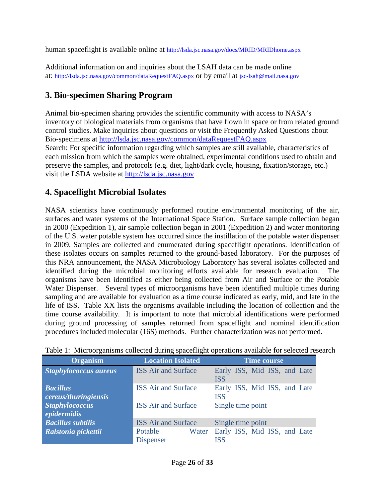human spaceflight is available online at<http://lsda.jsc.nasa.gov/docs/MRID/MRIDhome.aspx>

Additional information on and inquiries about the LSAH data can be made online at:<http://lsda.jsc.nasa.gov/common/dataRequestFAQ.aspx> or by email at [jsc-lsah@mail.nasa.gov](mailto:jsc-lsah@mail.nasa.gov)

### <span id="page-25-0"></span>**3. Bio-specimen Sharing Program**

Animal bio-specimen sharing provides the scientific community with access to NASA's inventory of biological materials from organisms that have flown in space or from related ground control studies. Make inquiries about questions or visit the Frequently Asked Questions about Bio-specimens at<http://lsda.jsc.nasa.gov/common/dataRequestFAQ.aspx> Search: For specific information regarding which samples are still available, characteristics of each mission from which the samples were obtained, experimental conditions used to obtain and preserve the samples, and protocols (e.g. diet, light/dark cycle, housing, fixation/storage, etc.) visit the LSDA website at [http://lsda.jsc.nasa.gov](http://lsda.jsc.nasa.gov/) 

### <span id="page-25-1"></span>**4. Spaceflight Microbial Isolates**

NASA scientists have continuously performed routine environmental monitoring of the air, surfaces and water systems of the International Space Station. Surface sample collection began in 2000 (Expedition 1), air sample collection began in 2001 (Expedition 2) and water monitoring of the U.S. water potable system has occurred since the instillation of the potable water dispenser in 2009. Samples are collected and enumerated during spaceflight operations. Identification of these isolates occurs on samples returned to the ground-based laboratory. For the purposes of this NRA announcement, the NASA Microbiology Laboratory has several isolates collected and identified during the microbial monitoring efforts available for research evaluation. The organisms have been identified as either being collected from Air and Surface or the Potable Water Dispenser. Several types of microorganisms have been identified multiple times during sampling and are available for evaluation as a time course indicated as early, mid, and late in the life of ISS. Table XX lists the organisms available including the location of collection and the time course availability. It is important to note that microbial identifications were performed during ground processing of samples returned from spaceflight and nominal identification procedures included molecular (16S) methods. Further characterization was not performed.

| <b>Organism</b>                         | <b>Location Isolated</b>             | <b>Time course</b>                         |
|-----------------------------------------|--------------------------------------|--------------------------------------------|
| <b>Staphylococcus aureus</b>            | <b>ISS Air and Surface</b>           | Early ISS, Mid ISS, and Late<br><b>ISS</b> |
| <b>Bacillus</b><br>cereus/thuringiensis | <b>ISS</b> Air and Surface           | Early ISS, Mid ISS, and Late<br><b>ISS</b> |
| <b>Staphylococcus</b><br>epidermidis    | <b>ISS</b> Air and Surface           | Single time point                          |
| <b>Bacillus subtilis</b>                | <b>ISS Air and Surface</b>           | Single time point                          |
| Ralstonia pickettii                     | Potable<br>Water<br><b>Dispenser</b> | Early ISS, Mid ISS, and Late<br><b>ISS</b> |

|  | Table 1: Microorganisms collected during spaceflight operations available for selected research |  |  |  |  |  |  |  |
|--|-------------------------------------------------------------------------------------------------|--|--|--|--|--|--|--|
|--|-------------------------------------------------------------------------------------------------|--|--|--|--|--|--|--|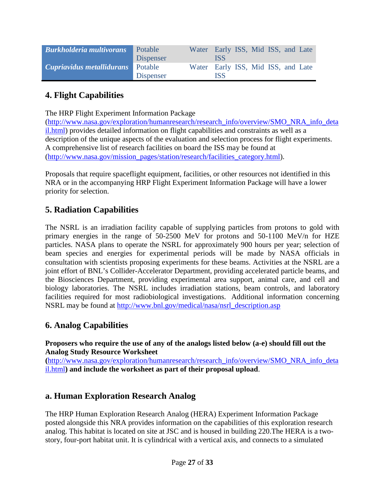| <b>Burkholderia multivorans</b> | Potable<br>Dispenser        | Water Early ISS, Mid ISS, and Late | ISS        |  |  |  |
|---------------------------------|-----------------------------|------------------------------------|------------|--|--|--|
| Cupriavidus metallidurans       | Potable<br><b>Dispenser</b> | Water Early ISS, Mid ISS, and Late | <b>ISS</b> |  |  |  |

### <span id="page-26-0"></span>**4. Flight Capabilities**

The HRP Flight Experiment Information Package

[\(http://www.nasa.gov/exploration/humanresearch/research\\_info/overview/SMO\\_NRA\\_info\\_deta](http://www.nasa.gov/exploration/humanresearch/research_info/overview/SMO_NRA_info_detail.html) [il.html\)](http://www.nasa.gov/exploration/humanresearch/research_info/overview/SMO_NRA_info_detail.html) provides detailed information on flight capabilities and constraints as well as a description of the unique aspects of the evaluation and selection process for flight experiments. A comprehensive list of research facilities on board the ISS may be found at [\(http://www.nasa.gov/mission\\_pages/station/research/facilities\\_category.html\)](http://www.nasa.gov/mission_pages/station/research/facilities_category.html).

Proposals that require spaceflight equipment, facilities, or other resources not identified in this NRA or in the accompanying HRP Flight Experiment Information Package will have a lower priority for selection.

### <span id="page-26-1"></span>**5. Radiation Capabilities**

The NSRL is an irradiation facility capable of supplying particles from protons to gold with primary energies in the range of 50-2500 MeV for protons and 50-1100 MeV/n for HZE particles. NASA plans to operate the NSRL for approximately 900 hours per year; selection of beam species and energies for experimental periods will be made by NASA officials in consultation with scientists proposing experiments for these beams. Activities at the NSRL are a joint effort of BNL's Collider-Accelerator Department, providing accelerated particle beams, and the Biosciences Department, providing experimental area support, animal care, and cell and biology laboratories. The NSRL includes irradiation stations, beam controls, and laboratory facilities required for most radiobiological investigations. Additional information concerning NSRL may be found at [http://www.bnl.gov/medical/nasa/nsrl\\_description.asp](http://www.bnl.gov/medical/nasa/nsrl_description.asp)

### <span id="page-26-2"></span>**6. Analog Capabilities**

**Proposers who require the use of any of the analogs listed below (a-e) should fill out the Analog Study Resource Worksheet**

**(**[http://www.nasa.gov/exploration/humanresearch/research\\_info/overview/SMO\\_NRA\\_info\\_deta](http://www.nasa.gov/exploration/humanresearch/research_info/overview/SMO_NRA_info_detail.html) [il.html](http://www.nasa.gov/exploration/humanresearch/research_info/overview/SMO_NRA_info_detail.html)**) and include the worksheet as part of their proposal upload**.

#### <span id="page-26-3"></span>**a. Human Exploration Research Analog**

The HRP Human Exploration Research Analog (HERA) Experiment Information Package posted alongside this NRA provides information on the capabilities of this exploration research analog. This habitat is located on site at JSC and is housed in building 220.The HERA is a twostory, four-port habitat unit. It is cylindrical with a vertical axis, and connects to a simulated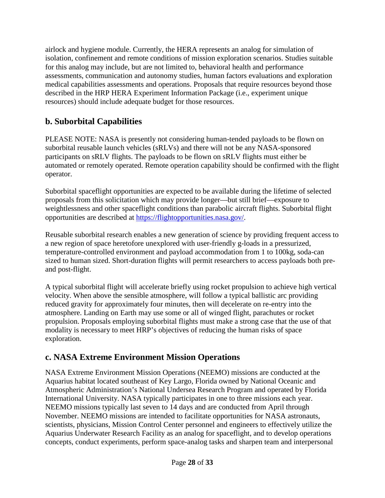airlock and hygiene module. Currently, the HERA represents an analog for simulation of isolation, confinement and remote conditions of mission exploration scenarios. Studies suitable for this analog may include, but are not limited to, behavioral health and performance assessments, communication and autonomy studies, human factors evaluations and exploration medical capabilities assessments and operations. Proposals that require resources beyond those described in the HRP HERA Experiment Information Package (i.e., experiment unique resources) should include adequate budget for those resources.

## <span id="page-27-0"></span>**b. Suborbital Capabilities**

PLEASE NOTE: NASA is presently not considering human-tended payloads to be flown on suborbital reusable launch vehicles (sRLVs) and there will not be any NASA-sponsored participants on sRLV flights. The payloads to be flown on sRLV flights must either be automated or remotely operated. Remote operation capability should be confirmed with the flight operator.

Suborbital spaceflight opportunities are expected to be available during the lifetime of selected proposals from this solicitation which may provide longer—but still brief—exposure to weightlessness and other spaceflight conditions than parabolic aircraft flights. Suborbital flight opportunities are described at [https://flightopportunities.nasa.gov/.](https://flightopportunities.nasa.gov/)

Reusable suborbital research enables a new generation of science by providing frequent access to a new region of space heretofore unexplored with user-friendly g-loads in a pressurized, temperature-controlled environment and payload accommodation from 1 to 100kg, soda-can sized to human sized. Short-duration flights will permit researchers to access payloads both preand post-flight.

A typical suborbital flight will accelerate briefly using rocket propulsion to achieve high vertical velocity. When above the sensible atmosphere, will follow a typical ballistic arc providing reduced gravity for approximately four minutes, then will decelerate on re-entry into the atmosphere. Landing on Earth may use some or all of winged flight, parachutes or rocket propulsion. Proposals employing suborbital flights must make a strong case that the use of that modality is necessary to meet HRP's objectives of reducing the human risks of space exploration.

## <span id="page-27-1"></span>**c. NASA Extreme Environment Mission Operations**

NASA Extreme Environment Mission Operations (NEEMO) missions are conducted at the Aquarius habitat located southeast of Key Largo, Florida owned by National Oceanic and Atmospheric Administration's National Undersea Research Program and operated by Florida International University. NASA typically participates in one to three missions each year. NEEMO missions typically last seven to 14 days and are conducted from April through November. NEEMO missions are intended to facilitate opportunities for NASA astronauts, scientists, physicians, Mission Control Center personnel and engineers to effectively utilize the Aquarius Underwater Research Facility as an analog for spaceflight, and to develop operations concepts, conduct experiments, perform space-analog tasks and sharpen team and interpersonal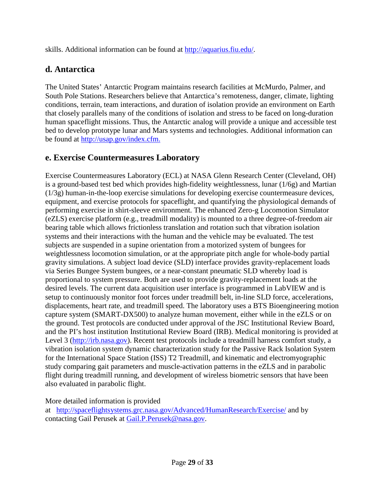skills. Additional information can be found at [http://aquarius.fiu.edu/.](http://aquarius.fiu.edu/)

### <span id="page-28-0"></span>**d. Antarctica**

The United States' Antarctic Program maintains research facilities at McMurdo, Palmer, and South Pole Stations. Researchers believe that Antarctica's remoteness, danger, climate, lighting conditions, terrain, team interactions, and duration of isolation provide an environment on Earth that closely parallels many of the conditions of isolation and stress to be faced on long-duration human spaceflight missions. Thus, the Antarctic analog will provide a unique and accessible test bed to develop prototype lunar and Mars systems and technologies. Additional information can be found at [http://usap.gov/index.cfm.](http://usap.gov/index.cfm)

### <span id="page-28-1"></span>**e. Exercise Countermeasures Laboratory**

Exercise Countermeasures Laboratory (ECL) at NASA Glenn Research Center (Cleveland, OH) is a ground-based test bed which provides high-fidelity weightlessness, lunar (1/6g) and Martian (1/3g) human-in-the-loop exercise simulations for developing exercise countermeasure devices, equipment, and exercise protocols for spaceflight, and quantifying the physiological demands of performing exercise in shirt-sleeve environment. The enhanced Zero-g Locomotion Simulator (eZLS) exercise platform (e.g., treadmill modality) is mounted to a three degree-of-freedom air bearing table which allows frictionless translation and rotation such that vibration isolation systems and their interactions with the human and the vehicle may be evaluated. The test subjects are suspended in a supine orientation from a motorized system of bungees for weightlessness locomotion simulation, or at the appropriate pitch angle for whole-body partial gravity simulations. A subject load device (SLD) interface provides gravity-replacement loads via Series Bungee System bungees, or a near-constant pneumatic SLD whereby load is proportional to system pressure. Both are used to provide gravity-replacement loads at the desired levels. The current data acquisition user interface is programmed in LabVIEW and is setup to continuously monitor foot forces under treadmill belt, in-line SLD force, accelerations, displacements, heart rate, and treadmill speed. The laboratory uses a BTS Bioengineering motion capture system (SMART-DX500) to analyze human movement, either while in the eZLS or on the ground. Test protocols are conducted under approval of the JSC Institutional Review Board, and the PI's host institution Institutional Review Board (IRB). Medical monitoring is provided at Level 3 [\(http://irb.nasa.gov\)](http://irb.nasa.gov/). Recent test protocols include a treadmill harness comfort study, a vibration isolation system dynamic characterization study for the Passive Rack Isolation System for the International Space Station (ISS) T2 Treadmill, and kinematic and electromyographic study comparing gait parameters and muscle-activation patterns in the eZLS and in parabolic flight during treadmill running, and development of wireless biometric sensors that have been also evaluated in parabolic flight.

More detailed information is provided

<span id="page-28-2"></span>at <http://spaceflightsystems.grc.nasa.gov/Advanced/HumanResearch/Exercise/> and by contacting Gail Perusek at [Gail.P.Perusek@nasa.gov.](mailto:Gail.P.Perusek@nasa.gov)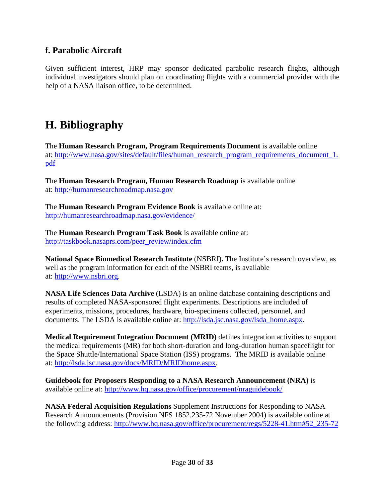### **f. Parabolic Aircraft**

<span id="page-29-0"></span>Given sufficient interest, HRP may sponsor dedicated parabolic research flights, although individual investigators should plan on coordinating flights with a commercial provider with the help of a NASA liaison office, to be determined.

## <span id="page-29-1"></span>**H. Bibliography**

The **Human Research Program, Program Requirements Document** is available online at: [http://www.nasa.gov/sites/default/files/human\\_research\\_program\\_requirements\\_document\\_1.](http://www.nasa.gov/sites/default/files/human_research_program_requirements_document_1.pdf) [pdf](http://www.nasa.gov/sites/default/files/human_research_program_requirements_document_1.pdf)

The **Human Research Program, Human Research Roadmap** is available online at: [http://humanresearchroadmap.nasa.gov](http://humanresearchroadmap.nasa.gov/)

The **Human Research Program Evidence Book** is available online at: <http://humanresearchroadmap.nasa.gov/evidence/>

The **Human Research Program Task Book** is available online at: [http://taskbook.nasaprs.com/peer\\_review/index.cfm](http://taskbook.nasaprs.com/peer_review/index.cfm)

**National Space Biomedical Research Institute** (NSBRI)**.** The Institute's research overview, as well as the program information for each of the NSBRI teams, is available at: [http://www.nsbri.org.](http://www.nsbri.org/)

**NASA Life Sciences Data Archive** (LSDA) is an online database containing descriptions and results of completed NASA-sponsored flight experiments. Descriptions are included of experiments, missions, procedures, hardware, bio-specimens collected, personnel, and documents. The LSDA is available online at: [http://lsda.jsc.nasa.gov/lsda\\_home.aspx.](http://lsda.jsc.nasa.gov/lsda_home.aspx)

**Medical Requirement Integration Document (MRID)** defines integration activities to support the medical requirements (MR) for both short-duration and long-duration human spaceflight for the Space Shuttle/International Space Station (ISS) programs. The MRID is available online at: [http://lsda.jsc.nasa.gov/docs/MRID/MRIDhome.aspx.](http://lsda.jsc.nasa.gov/docs/MRID/MRIDhome.aspx)

**Guidebook for Proposers Responding to a NASA Research Announcement (NRA)** is available online at: <http://www.hq.nasa.gov/office/procurement/nraguidebook/>

**NASA Federal Acquisition Regulations** Supplement Instructions for Responding to NASA Research Announcements (Provision NFS 1852.235-72 November 2004) is available online at the following address: [http://www.hq.nasa.gov/office/procurement/regs/5228-41.htm#52\\_235-72](http://www.hq.nasa.gov/office/procurement/regs/5228-41.htm%2352_235-72)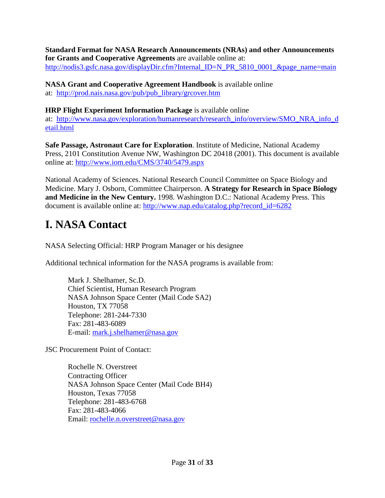#### **Standard Format for NASA Research Announcements (NRAs) and other Announcements for Grants and Cooperative Agreements** are available online at: [http://nodis3.gsfc.nasa.gov/displayDir.cfm?Internal\\_ID=N\\_PR\\_5810\\_0001\\_&page\\_name=main](http://nodis3.gsfc.nasa.gov/displayDir.cfm?Internal_ID=N_PR_5810_0001_&page_name=main)

**NASA Grant and Cooperative Agreement Handbook** is available online at: [http://prod.nais.nasa.gov/pub/pub\\_library/grcover.htm](http://prod.nais.nasa.gov/pub/pub_library/grcover.htm)

**HRP Flight Experiment Information Package** is available online

at: [http://www.nasa.gov/exploration/humanresearch/research\\_info/overview/SMO\\_NRA\\_info\\_d](http://www.nasa.gov/exploration/humanresearch/research_info/overview/SMO_NRA_info_detail.html) [etail.html](http://www.nasa.gov/exploration/humanresearch/research_info/overview/SMO_NRA_info_detail.html)

**Safe Passage, Astronaut Care for Exploration**. Institute of Medicine, National Academy Press, 2101 Constitution Avenue NW, Washington DC 20418 (2001). This document is available online at:<http://www.iom.edu/CMS/3740/5479.aspx>

National Academy of Sciences. National Research Council Committee on Space Biology and Medicine. Mary J. Osborn, Committee Chairperson. **A Strategy for Research in Space Biology and Medicine in the New Century.** 1998. Washington D.C.: National Academy Press. This document is available online at: [http://www.nap.edu/catalog.php?record\\_id=6282](http://www.nap.edu/catalog.php?record_id=6282)

# <span id="page-30-0"></span>**I. NASA Contact**

NASA Selecting Official: HRP Program Manager or his designee

Additional technical information for the NASA programs is available from:

Mark J. Shelhamer, Sc.D. Chief Scientist, Human Research Program NASA Johnson Space Center (Mail Code SA2) Houston, TX 77058 Telephone: 281-244-7330 Fax: 281-483-6089 E-mail: [mark.j.shelhamer@nasa.gov](mailto:mark.j.shelhamer@nasa.gov)

JSC Procurement Point of Contact:

<span id="page-30-1"></span>Rochelle N. Overstreet Contracting Officer NASA Johnson Space Center (Mail Code BH4) Houston, Texas 77058 Telephone: 281-483-6768 Fax: 281-483-4066 Email: [rochelle.n.overstreet@nasa.gov](mailto:rochelle.n.overstreet@nasa.gov)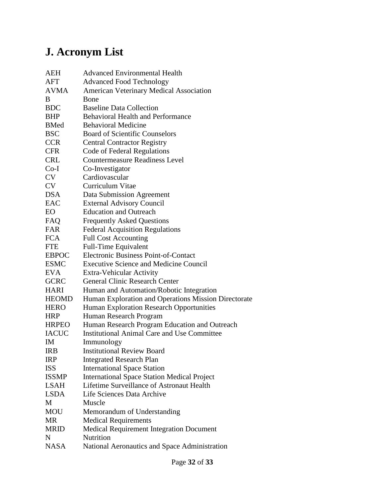# **J. Acronym List**

| AEH          | <b>Advanced Environmental Health</b>                 |
|--------------|------------------------------------------------------|
| <b>AFT</b>   | <b>Advanced Food Technology</b>                      |
| <b>AVMA</b>  | American Veterinary Medical Association              |
| B            | Bone                                                 |
| <b>BDC</b>   | <b>Baseline Data Collection</b>                      |
| <b>BHP</b>   | <b>Behavioral Health and Performance</b>             |
| <b>BMed</b>  | <b>Behavioral Medicine</b>                           |
| <b>BSC</b>   | <b>Board of Scientific Counselors</b>                |
| <b>CCR</b>   | <b>Central Contractor Registry</b>                   |
| <b>CFR</b>   | <b>Code of Federal Regulations</b>                   |
| <b>CRL</b>   | <b>Countermeasure Readiness Level</b>                |
| $Co-I$       | Co-Investigator                                      |
| CV           | Cardiovascular                                       |
| <b>CV</b>    | Curriculum Vitae                                     |
| <b>DSA</b>   | <b>Data Submission Agreement</b>                     |
| EAC          | <b>External Advisory Council</b>                     |
| EО           | <b>Education and Outreach</b>                        |
| FAQ          | <b>Frequently Asked Questions</b>                    |
| FAR          | <b>Federal Acquisition Regulations</b>               |
| <b>FCA</b>   | <b>Full Cost Accounting</b>                          |
| <b>FTE</b>   | <b>Full-Time Equivalent</b>                          |
| <b>EBPOC</b> | <b>Electronic Business Point-of-Contact</b>          |
| <b>ESMC</b>  | <b>Executive Science and Medicine Council</b>        |
| <b>EVA</b>   | Extra-Vehicular Activity                             |
| <b>GCRC</b>  | <b>General Clinic Research Center</b>                |
| <b>HARI</b>  | Human and Automation/Robotic Integration             |
| <b>HEOMD</b> | Human Exploration and Operations Mission Directorate |
| <b>HERO</b>  | Human Exploration Research Opportunities             |
| <b>HRP</b>   | Human Research Program                               |
| <b>HRPEO</b> | Human Research Program Education and Outreach        |
| <b>IACUC</b> | <b>Institutional Animal Care and Use Committee</b>   |
| IM           | Immunology                                           |
| <b>IRB</b>   | <b>Institutional Review Board</b>                    |
| <b>IRP</b>   | <b>Integrated Research Plan</b>                      |
| <b>ISS</b>   | <b>International Space Station</b>                   |
| <b>ISSMP</b> | <b>International Space Station Medical Project</b>   |
| <b>LSAH</b>  | <b>Lifetime Surveillance of Astronaut Health</b>     |
| <b>LSDA</b>  | Life Sciences Data Archive                           |
| M            | Muscle                                               |
| MOU          | Memorandum of Understanding                          |
| MR           | <b>Medical Requirements</b>                          |
| <b>MRID</b>  | <b>Medical Requirement Integration Document</b>      |
| N            | Nutrition                                            |
| <b>NASA</b>  | National Aeronautics and Space Administration        |
|              |                                                      |